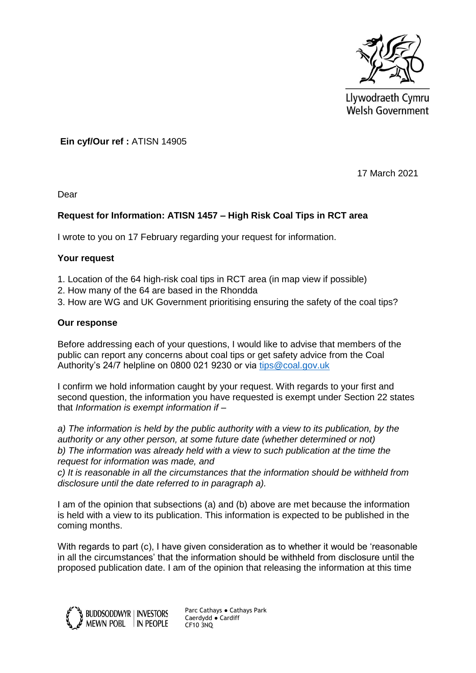

Llywodraeth Cymru Welsh Government

**Ein cyf/Our ref :** ATISN 14905

17 March 2021

Dear

# **Request for Information: ATISN 1457 – High Risk Coal Tips in RCT area**

I wrote to you on 17 February regarding your request for information.

## **Your request**

- 1. Location of the 64 high-risk coal tips in RCT area (in map view if possible)
- 2. How many of the 64 are based in the Rhondda
- 3. How are WG and UK Government prioritising ensuring the safety of the coal tips?

## **Our response**

Before addressing each of your questions, I would like to advise that members of the public can report any concerns about coal tips or get safety advice from the Coal Authority's 24/7 helpline on 0800 021 9230 or via [tips@coal.gov.uk](mailto:tips@coal.gov.uk)

I confirm we hold information caught by your request. With regards to your first and second question, the information you have requested is exempt under Section 22 states that *Information is exempt information if –*

*a) The information is held by the public authority with a view to its publication, by the authority or any other person, at some future date (whether determined or not) b) The information was already held with a view to such publication at the time the request for information was made, and* 

*c) It is reasonable in all the circumstances that the information should be withheld from disclosure until the date referred to in paragraph a).* 

I am of the opinion that subsections (a) and (b) above are met because the information is held with a view to its publication. This information is expected to be published in the coming months.

With regards to part (c). I have given consideration as to whether it would be 'reasonable in all the circumstances' that the information should be withheld from disclosure until the proposed publication date. I am of the opinion that releasing the information at this time



Parc Cathays ● Cathays Park Caerdydd ● Cardiff CF10 3NQ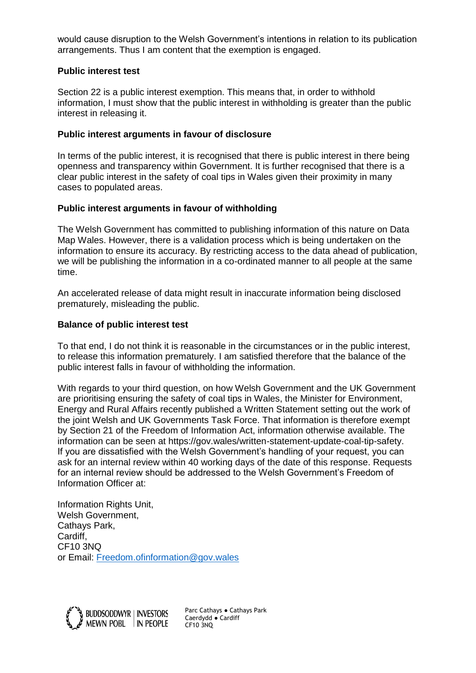would cause disruption to the Welsh Government's intentions in relation to its publication arrangements. Thus I am content that the exemption is engaged.

## **Public interest test**

Section 22 is a public interest exemption. This means that, in order to withhold information, I must show that the public interest in withholding is greater than the public interest in releasing it.

## **Public interest arguments in favour of disclosure**

In terms of the public interest, it is recognised that there is public interest in there being openness and transparency within Government. It is further recognised that there is a clear public interest in the safety of coal tips in Wales given their proximity in many cases to populated areas.

## **Public interest arguments in favour of withholding**

The Welsh Government has committed to publishing information of this nature on Data Map Wales. However, there is a validation process which is being undertaken on the information to ensure its accuracy. By restricting access to the data ahead of publication, we will be publishing the information in a co-ordinated manner to all people at the same time.

An accelerated release of data might result in inaccurate information being disclosed prematurely, misleading the public.

## **Balance of public interest test**

To that end, I do not think it is reasonable in the circumstances or in the public interest, to release this information prematurely. I am satisfied therefore that the balance of the public interest falls in favour of withholding the information.

With regards to your third question, on how Welsh Government and the UK Government are prioritising ensuring the safety of coal tips in Wales, the Minister for Environment, Energy and Rural Affairs recently published a Written Statement setting out the work of the joint Welsh and UK Governments Task Force. That information is therefore exempt by Section 21 of the Freedom of Information Act, information otherwise available. The information can be seen at https://gov.wales/written-statement-update-coal-tip-safety. If you are dissatisfied with the Welsh Government's handling of your request, you can ask for an internal review within 40 working days of the date of this response. Requests for an internal review should be addressed to the Welsh Government's Freedom of Information Officer at:

Information Rights Unit, Welsh Government, Cathays Park, Cardiff, CF10 3NQ or Email: [Freedom.ofinformation@gov.wales](mailto:Freedom.ofinformation@gov.wales)



Parc Cathays ● Cathays Park Caerdydd ● Cardiff CF10 3NQ